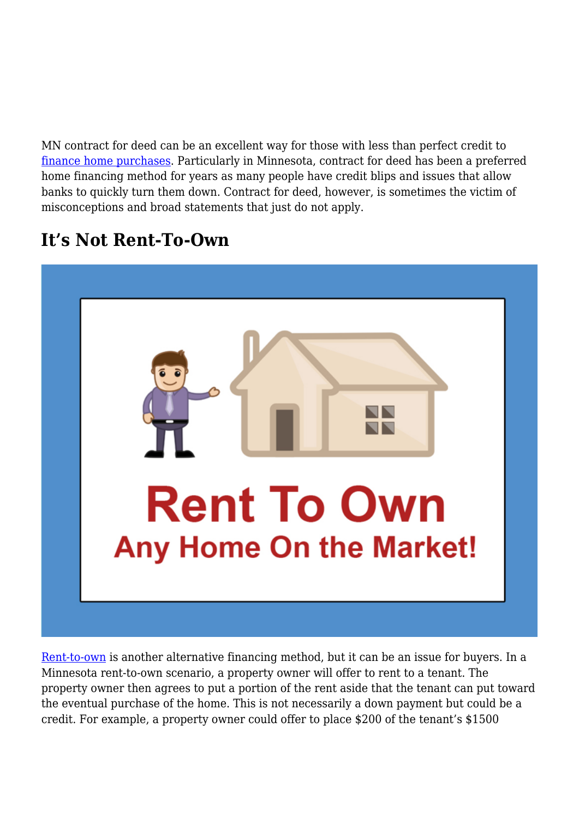MN contract for deed can be an excellent way for those with less than perfect credit to [finance home purchases.](https://www.investopedia.com/articles/mortgages-real-estate/08/homebuyer-financing-option.asp) Particularly in Minnesota, contract for deed has been a preferred home financing method for years as many people have credit blips and issues that allow banks to quickly turn them down. Contract for deed, however, is sometimes the victim of misconceptions and broad statements that just do not apply.

### **It's Not Rent-To-Own**



[Rent-to-own](https://www.c4dcrew.com/rent-vs-own/) is another alternative financing method, but it can be an issue for buyers. In a Minnesota rent-to-own scenario, a property owner will offer to rent to a tenant. The property owner then agrees to put a portion of the rent aside that the tenant can put toward the eventual purchase of the home. This is not necessarily a down payment but could be a credit. For example, a property owner could offer to place \$200 of the tenant's \$1500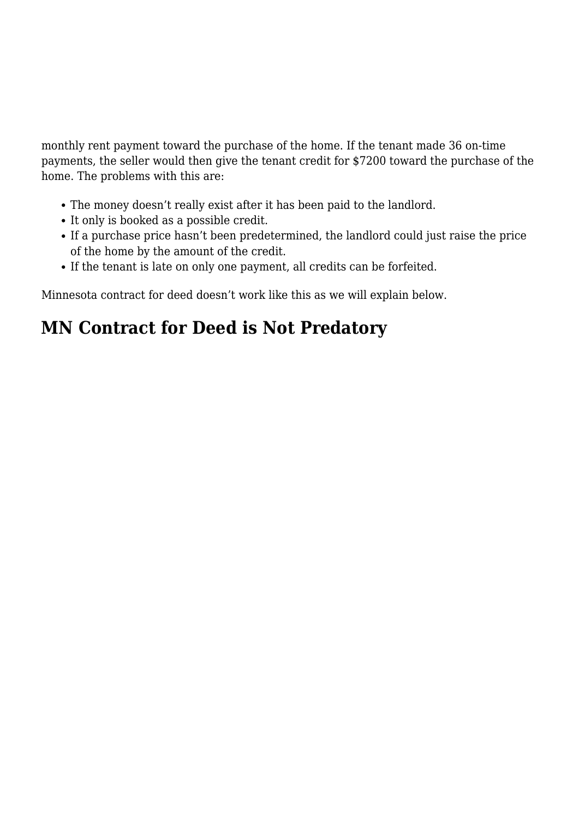monthly rent payment toward the purchase of the home. If the tenant made 36 on-time payments, the seller would then give the tenant credit for \$7200 toward the purchase of the home. The problems with this are:

- The money doesn't really exist after it has been paid to the landlord.
- It only is booked as a possible credit.
- If a purchase price hasn't been predetermined, the landlord could just raise the price of the home by the amount of the credit.
- If the tenant is late on only one payment, all credits can be forfeited.

Minnesota contract for deed doesn't work like this as we will explain below.

## **MN Contract for Deed is Not Predatory**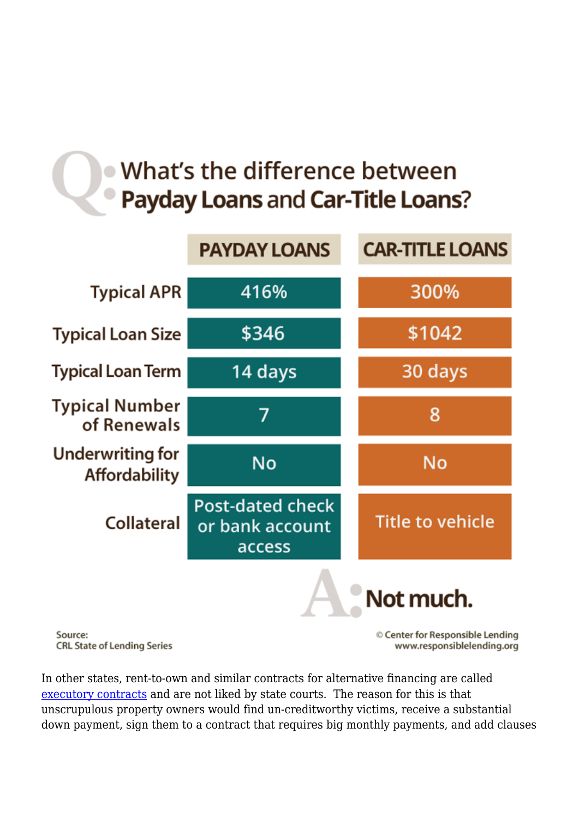# What's the difference between **Payday Loans and Car-Title Loans?**



Source: **CRL State of Lending Series**  © Center for Responsible Lending www.responsiblelending.org

In other states, rent-to-own and similar contracts for alternative financing are called [executory contracts](https://bankruptcy.cooley.com/2006/07/articles/business-bankruptcy-issues/executory-contracts-what-are-they-and-why-do-they-matter-in-bankruptcy/) and are not liked by state courts. The reason for this is that unscrupulous property owners would find un-creditworthy victims, receive a substantial down payment, sign them to a contract that requires big monthly payments, and add clauses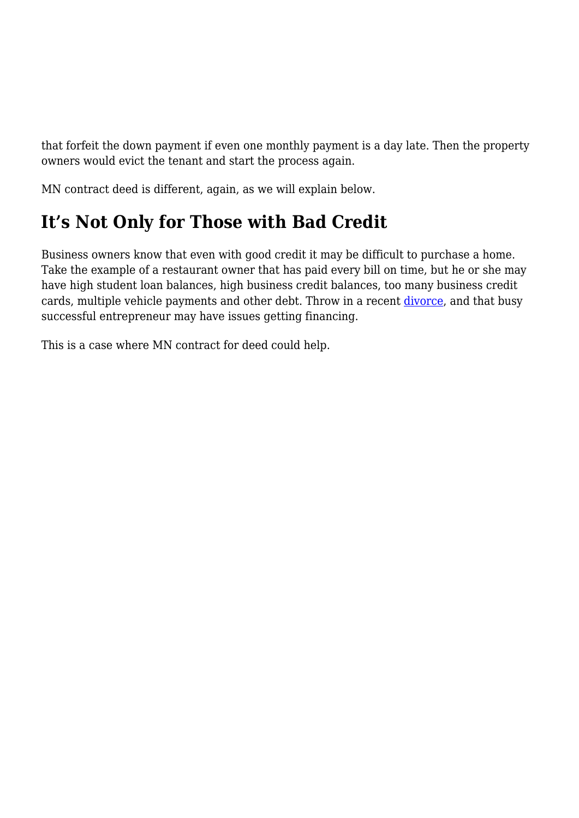that forfeit the down payment if even one monthly payment is a day late. Then the property owners would evict the tenant and start the process again.

MN contract deed is different, again, as we will explain below.

## **It's Not Only for Those with Bad Credit**

Business owners know that even with good credit it may be difficult to purchase a home. Take the example of a restaurant owner that has paid every bill on time, but he or she may have high student loan balances, high business credit balances, too many business credit cards, multiple vehicle payments and other debt. Throw in a recent [divorce](https://www.thebalance.com/will-divorce-affect-your-credit-score-960993), and that busy successful entrepreneur may have issues getting financing.

This is a case where MN contract for deed could help.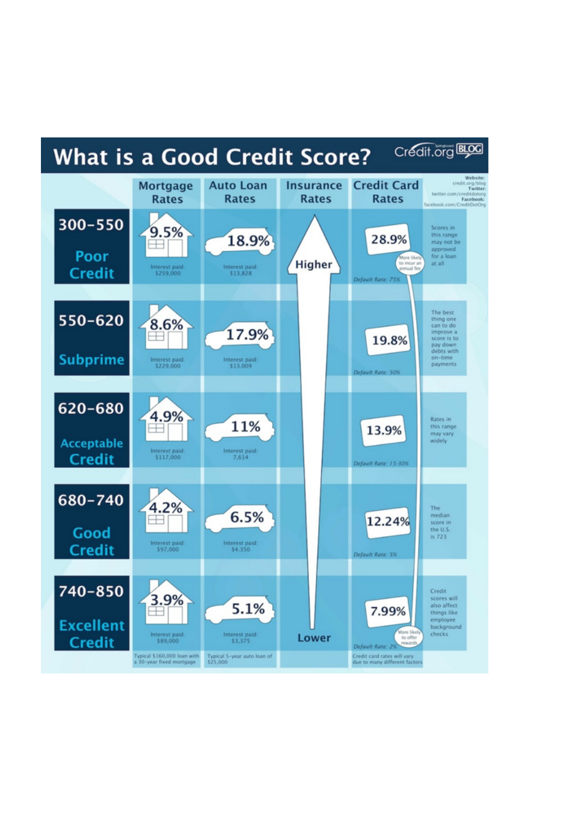